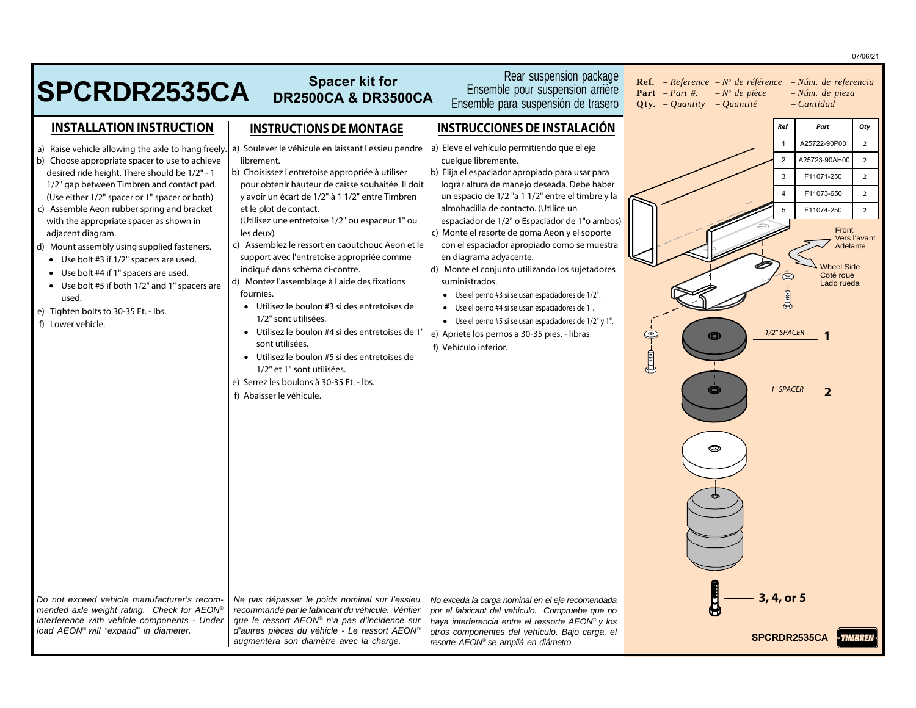|                                                                                                                                                                                                                                                                                                                                                                                                                                                                                                                                                                                                                             |                                                                                                                                                                                                                                                                                                                                                                                                                                                                                                                                                                                                                                                                                                                                                                                                                                  |                                                                                                                                                                                                                                                                                                                                                                                                                                                                                                                                                                                                                                                                                                                                                                | 07/06/21                                                                                                                                                                                                                                                                                                                                                |
|-----------------------------------------------------------------------------------------------------------------------------------------------------------------------------------------------------------------------------------------------------------------------------------------------------------------------------------------------------------------------------------------------------------------------------------------------------------------------------------------------------------------------------------------------------------------------------------------------------------------------------|----------------------------------------------------------------------------------------------------------------------------------------------------------------------------------------------------------------------------------------------------------------------------------------------------------------------------------------------------------------------------------------------------------------------------------------------------------------------------------------------------------------------------------------------------------------------------------------------------------------------------------------------------------------------------------------------------------------------------------------------------------------------------------------------------------------------------------|----------------------------------------------------------------------------------------------------------------------------------------------------------------------------------------------------------------------------------------------------------------------------------------------------------------------------------------------------------------------------------------------------------------------------------------------------------------------------------------------------------------------------------------------------------------------------------------------------------------------------------------------------------------------------------------------------------------------------------------------------------------|---------------------------------------------------------------------------------------------------------------------------------------------------------------------------------------------------------------------------------------------------------------------------------------------------------------------------------------------------------|
| <b>SPCRDR2535CA</b>                                                                                                                                                                                                                                                                                                                                                                                                                                                                                                                                                                                                         | <b>Spacer kit for</b><br><b>DR2500CA &amp; DR3500CA</b>                                                                                                                                                                                                                                                                                                                                                                                                                                                                                                                                                                                                                                                                                                                                                                          | Rear suspension package<br>Ensemble pour suspension arrière<br>Ensemble para suspensión de trasero                                                                                                                                                                                                                                                                                                                                                                                                                                                                                                                                                                                                                                                             | <b>Ref.</b> = Reference = $N^{\circ}$ de référence = Núm. de referencia<br><b>Part</b> = <i>Part</i> #.<br>$=N^{\circ}$ de pièce<br>$=N$ úm. de pieza<br><b>Oty.</b> = <i>Ouantity</i> = <i>Ouantité</i><br>$=$ <i>Cantidad</i>                                                                                                                         |
| <b>INSTALLATION INSTRUCTION</b>                                                                                                                                                                                                                                                                                                                                                                                                                                                                                                                                                                                             | <b>INSTRUCTIONS DE MONTAGE</b>                                                                                                                                                                                                                                                                                                                                                                                                                                                                                                                                                                                                                                                                                                                                                                                                   | <b>INSTRUCCIONES DE INSTALACIÓN</b>                                                                                                                                                                                                                                                                                                                                                                                                                                                                                                                                                                                                                                                                                                                            | Ref<br>Part<br>Qty                                                                                                                                                                                                                                                                                                                                      |
| a) Raise vehicle allowing the axle to hang freely.<br>b) Choose appropriate spacer to use to achieve<br>desired ride height. There should be 1/2" - 1<br>1/2" gap between Timbren and contact pad.<br>(Use either 1/2" spacer or 1" spacer or both)<br>c) Assemble Aeon rubber spring and bracket<br>with the appropriate spacer as shown in<br>adjacent diagram.<br>d) Mount assembly using supplied fasteners.<br>• Use bolt #3 if 1/2" spacers are used.<br>• Use bolt #4 if 1" spacers are used.<br>• Use bolt #5 if both 1/2" and 1" spacers are<br>used.<br>e) Tighten bolts to 30-35 Ft. - lbs.<br>f) Lower vehicle. | a) Soulever le véhicule en laissant l'essieu pendre<br>librement.<br>b) Choisissez l'entretoise appropriée à utiliser<br>pour obtenir hauteur de caisse souhaitée. Il doit<br>y avoir un écart de 1/2" à 1 1/2" entre Timbren<br>et le plot de contact.<br>(Utilisez une entretoise 1/2" ou espaceur 1" ou<br>les deux)<br>c) Assemblez le ressort en caoutchouc Aeon et le<br>support avec l'entretoise appropriée comme<br>indiqué dans schéma ci-contre.<br>d) Montez l'assemblage à l'aide des fixations<br>fournies.<br>• Utilisez le boulon #3 si des entretoises de<br>1/2" sont utilisées.<br>· Utilisez le boulon #4 si des entretoises de 1'<br>sont utilisées.<br>• Utilisez le boulon #5 si des entretoises de<br>1/2" et 1" sont utilisées.<br>e) Serrez les boulons à 30-35 Ft. - Ibs.<br>f) Abaisser le véhicule. | a) Eleve el vehículo permitiendo que el eje<br>cuelque libremente.<br>b) Elija el espaciador apropiado para usar para<br>lograr altura de manejo deseada. Debe haber<br>un espacio de 1/2 "a 1 1/2" entre el timbre y la<br>almohadilla de contacto. (Utilice un<br>espaciador de 1/2" o Espaciador de 1"o ambos)<br>c) Monte el resorte de goma Aeon y el soporte<br>con el espaciador apropiado como se muestra<br>en diagrama adyacente.<br>d) Monte el conjunto utilizando los sujetadores<br>suministrados.<br>• Use el perno #3 si se usan espaciadores de 1/2".<br>• Use el perno #4 si se usan espaciadores de 1".<br>• Use el perno #5 si se usan espaciadores de 1/2" y 1".<br>e) Apriete los pernos a 30-35 pies. - libras<br>f) Vehículo inferior. | $\overline{2}$<br>A25722-90P00<br>$\mathbf{1}$<br>$\overline{2}$<br>A25723-90AH00<br>$\overline{2}$<br>$\overline{2}$<br>3<br>F11071-250<br>F11073-650<br>$\overline{2}$<br>$\overline{2}$<br>F11074-250<br>Front<br>Vers l'avant<br>Adelante<br><b>Wheel Side</b><br>Coté roue<br>Lado rueda<br>1/2" SPACER<br>$rac{1}{2}$<br>O<br>1" SPACER<br>O<br>O |
| Do not exceed vehicle manufacturer's recom-<br>mended axle weight rating. Check for AEON®<br>interference with vehicle components - Under<br>load AEON® will "expand" in diameter.                                                                                                                                                                                                                                                                                                                                                                                                                                          | Ne pas dépasser le poids nominal sur l'essieu<br>recommandé par le fabricant du véhicule. Vérifier<br>que le ressort AEON® n'a pas d'incidence sur<br>d'autres pièces du véhicle - Le ressort AEON®<br>augmentera son diamètre avec la charge.                                                                                                                                                                                                                                                                                                                                                                                                                                                                                                                                                                                   | No exceda la carga nominal en el eje recomendada<br>por el fabricant del vehículo. Compruebe que no<br>haya interferencia entre el ressorte AEON® y los<br>otros componentes del vehículo. Bajo carga, el<br>resorte AEON® se ampliá en diámetro.                                                                                                                                                                                                                                                                                                                                                                                                                                                                                                              | 3, 4, or 5<br>SPCRDR2535CA                                                                                                                                                                                                                                                                                                                              |